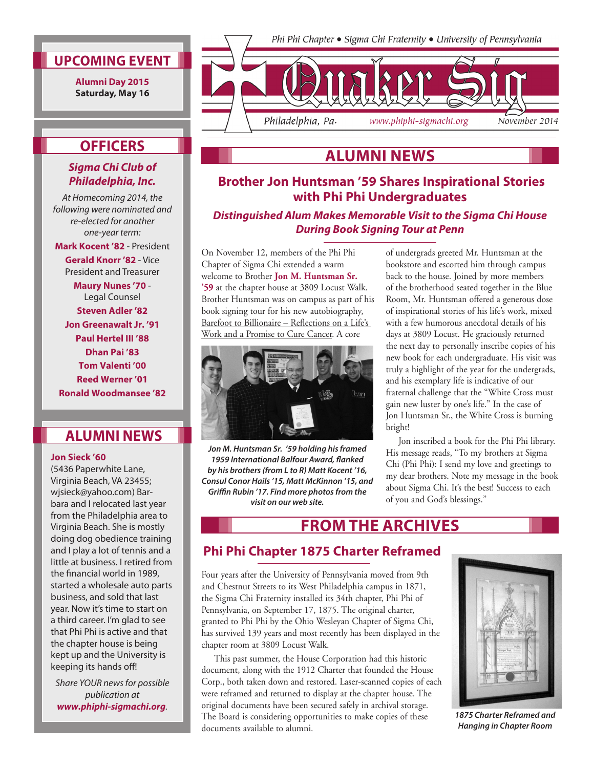### **UPCOMING EVENT**

**Alumni Day 2015 Saturday, May 16** 

#### Phi Phi Chapter • Sigma Chi Fraternity • University of Pennsylvania



# **OFFICERS**

#### *Sigma Chi Club of Philadelphia, Inc.*

*At Homecoming 2014, the following were nominated and re-elected for another one-year term:*

**Mark Kocent '82** - President **Gerald Knorr '82** - Vice President and Treasurer

**Maury Nunes '70** - Legal Counsel **Steven Adler '82 Jon Greenawalt Jr. '91 Paul Hertel III '88 Dhan Pai '83 Tom Valenti '00 Reed Werner '01 Ronald Woodmansee '82**

# **ALUMNI NEWS**

#### **Jon Sieck '60**

(5436 Paperwhite Lane, Virginia Beach, VA 23455; wjsieck@yahoo.com) Barbara and I relocated last year from the Philadelphia area to Virginia Beach. She is mostly doing dog obedience training and I play a lot of tennis and a little at business. I retired from the financial world in 1989, started a wholesale auto parts business, and sold that last year. Now it's time to start on a third career. I'm glad to see that Phi Phi is active and that the chapter house is being kept up and the University is keeping its hands off!

*Share YOUR news for possible publication at www.phiphi-sigmachi.org.*

# **Brother Jon Huntsman '59 Shares Inspirational Stories ALUMNI NEWS**

# **with Phi Phi Undergraduates**

*Distinguished Alum Makes Memorable Visit to the Sigma Chi House During Book Signing Tour at Penn*

On November 12, members of the Phi Phi Chapter of Sigma Chi extended a warm welcome to Brother **Jon M. Huntsman Sr. '59** at the chapter house at 3809 Locust Walk. Brother Huntsman was on campus as part of his book signing tour for his new autobiography, Barefoot to Billionaire – Reflections on a Life's Work and a Promise to Cure Cancer. A core



*Jon M. Huntsman Sr. '59 holding his framed 1959 International Balfour Award, flanked by his brothers (from L to R) Matt Kocent '16, Consul Conor Hails '15, Matt McKinnon '15, and Griffin Rubin '17. Find more photos from the visit on our web site.*

of undergrads greeted Mr. Huntsman at the bookstore and escorted him through campus back to the house. Joined by more members of the brotherhood seated together in the Blue Room, Mr. Huntsman offered a generous dose of inspirational stories of his life's work, mixed with a few humorous anecdotal details of his days at 3809 Locust. He graciously returned the next day to personally inscribe copies of his new book for each undergraduate. His visit was truly a highlight of the year for the undergrads, and his exemplary life is indicative of our fraternal challenge that the "White Cross must gain new luster by one's life." In the case of Jon Huntsman Sr., the White Cross is burning bright!

Jon inscribed a book for the Phi Phi library. His message reads, "To my brothers at Sigma Chi (Phi Phi): I send my love and greetings to my dear brothers. Note my message in the book about Sigma Chi. It's the best! Success to each of you and God's blessings."

# **FROM THE ARCHIVES**

# **Phi Phi Chapter 1875 Charter Reframed**

Four years after the University of Pennsylvania moved from 9th and Chestnut Streets to its West Philadelphia campus in 1871, the Sigma Chi Fraternity installed its 34th chapter, Phi Phi of Pennsylvania, on September 17, 1875. The original charter, granted to Phi Phi by the Ohio Wesleyan Chapter of Sigma Chi, has survived 139 years and most recently has been displayed in the chapter room at 3809 Locust Walk.

This past summer, the House Corporation had this historic document, along with the 1912 Charter that founded the House Corp., both taken down and restored. Laser-scanned copies of each were reframed and returned to display at the chapter house. The original documents have been secured safely in archival storage. The Board is considering opportunities to make copies of these documents available to alumni.



*1875 Charter Reframed and Hanging in Chapter Room*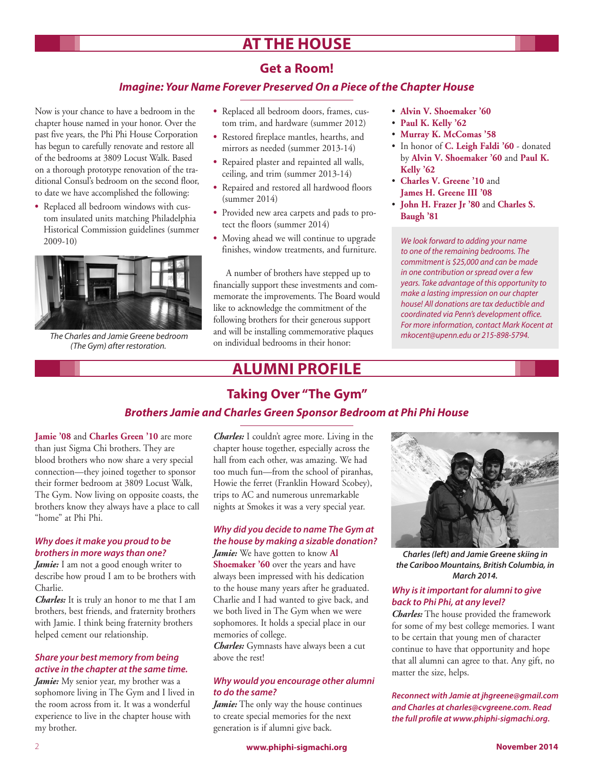# **AT THE HOUSE**

## **Get a Room!**

#### *Imagine: Your Name Forever Preserved On a Piece of the Chapter House*

Now is your chance to have a bedroom in the chapter house named in your honor. Over the past five years, the Phi Phi House Corporation has begun to carefully renovate and restore all of the bedrooms at 3809 Locust Walk. Based on a thorough prototype renovation of the traditional Consul's bedroom on the second floor, to date we have accomplished the following:

**•**  Replaced all bedroom windows with custom insulated units matching Philadelphia Historical Commission guidelines (summer 2009-10)



 *The Charles and Jamie Greene bedroom (The Gym) after restoration.*

- **•**  Replaced all bedroom doors, frames, custom trim, and hardware (summer 2012)
- **•**  Restored fireplace mantles, hearths, and mirrors as needed (summer 2013-14)
- **•**  Repaired plaster and repainted all walls, ceiling, and trim (summer 2013-14)
- **•**  Repaired and restored all hardwood floors (summer 2014)
- **•**  Provided new area carpets and pads to protect the floors (summer 2014)
- **•**  Moving ahead we will continue to upgrade finishes, window treatments, and furniture.

A number of brothers have stepped up to financially support these investments and commemorate the improvements. The Board would like to acknowledge the commitment of the following brothers for their generous support and will be installing commemorative plaques on individual bedrooms in their honor:

# **ALUMNI PROFILE**

#### • **Alvin V. Shoemaker '60**

- • **Paul K. Kelly '62**
- • **Murray K. McComas '58**
- • In honor of **C. Leigh Faldi '60** donated by **Alvin V. Shoemaker '60** and **Paul K. Kelly '62**
- • **Charles V. Greene '10** and **James H. Greene III '08**
- • **John H. Frazer Jr '80** and **Charles S. Baugh '81**

*We look forward to adding your name to one of the remaining bedrooms. The commitment is \$25,000 and can be made in one contribution or spread over a few years. Take advantage of this opportunity to make a lasting impression on our chapter house! All donations are tax deductible and coordinated via Penn's development office. For more information, contact Mark Kocent at mkocent@upenn.edu or 215-898-5794.*

# **Taking Over "The Gym"**

### *Brothers Jamie and Charles Green Sponsor Bedroom at Phi Phi House*

**Jamie '08** and **Charles Green '10** are more than just Sigma Chi brothers. They are blood brothers who now share a very special connection—they joined together to sponsor their former bedroom at 3809 Locust Walk, The Gym. Now living on opposite coasts, the brothers know they always have a place to call "home" at Phi Phi.

#### *Why does it make you proud to be brothers in more ways than one?*

*Jamie:* I am not a good enough writer to describe how proud I am to be brothers with Charlie.

*Charles:* It is truly an honor to me that I am brothers, best friends, and fraternity brothers with Jamie. I think being fraternity brothers helped cement our relationship.

#### *Share your best memory from being active in the chapter at the same time.*

Jamie: My senior year, my brother was a sophomore living in The Gym and I lived in the room across from it. It was a wonderful experience to live in the chapter house with my brother.

*Charles:* I couldn't agree more. Living in the chapter house together, especially across the hall from each other, was amazing. We had too much fun—from the school of piranhas, Howie the ferret (Franklin Howard Scobey), trips to AC and numerous unremarkable nights at Smokes it was a very special year.

### *Why did you decide to name The Gym at the house by making a sizable donation?*

*Jamie:* We have gotten to know **Al Shoemaker '60** over the years and have always been impressed with his dedication to the house many years after he graduated. Charlie and I had wanted to give back, and we both lived in The Gym when we were sophomores. It holds a special place in our memories of college.

*Charles:* Gymnasts have always been a cut above the rest!

#### *Why would you encourage other alumni to do the same?*

Jamie: The only way the house continues to create special memories for the next generation is if alumni give back.



*Charles (left) and Jamie Greene skiing in the Cariboo Mountains, British Columbia, in March 2014.*

#### *Why is it important for alumni to give back to Phi Phi, at any level?*

*Charles:* The house provided the framework for some of my best college memories. I want to be certain that young men of character continue to have that opportunity and hope that all alumni can agree to that. Any gift, no matter the size, helps.

*Reconnect with Jamie at jhgreene@gmail.com and Charles at charles@cvgreene.com. Read the full profile at www.phiphi-sigmachi.org.*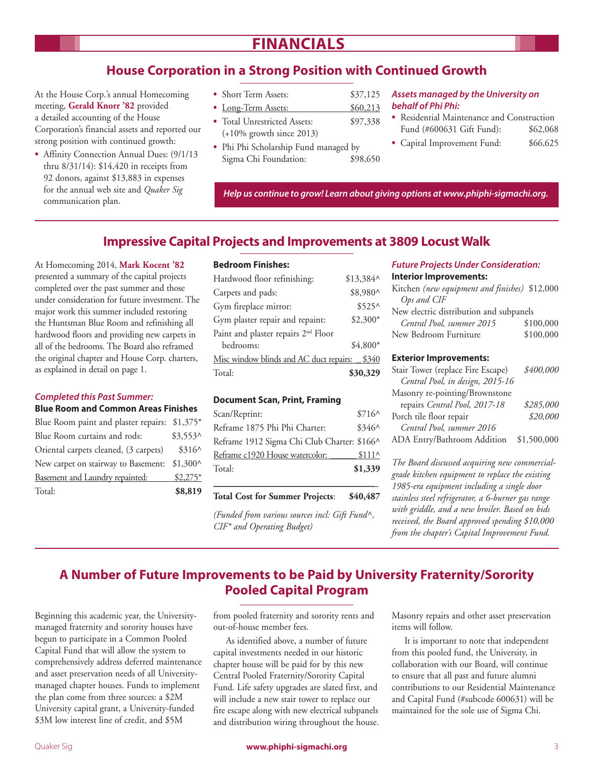# **FINANCIALS**

# **House Corporation in a Strong Position with Continued Growth**

At the House Corp.'s annual Homecoming meeting, **Gerald Knorr '82** provided a detailed accounting of the House Corporation's financial assets and reported our strong position with continued growth:

- Affinity Connection Annual Dues: (9/1/13 thru 8/31/14): \$14,420 in receipts from 92 donors, against \$13,883 in expenses for the annual web site and *Quaker Sig* communication plan.
- Short Term Assets:  $$37,125$
- Long-Term Assets:  $$60,213$
- Total Unrestricted Assets: \$97,338 (+10% growth since 2013)
- **•**  Phi Phi Scholarship Fund managed by Sigma Chi Foundation:  $$98,650$

#### *Assets managed by the University on behalf of Phi Phi:*

- **•**  Residential Maintenance and Construction Fund (#600631 Gift Fund): \$62,068
- Capital Improvement Fund: \$66,625

*Help us continue to grow! Learn about giving options at www.phiphi-sigmachi.org.*

### **Impressive Capital Projects and Improvements at 3809 Locust Walk**

At Homecoming 2014, **Mark Kocent '82** presented a summary of the capital projects completed over the past summer and those under consideration for future investment. The major work this summer included restoring the Huntsman Blue Room and refinishing all hardwood floors and providing new carpets in all of the bedrooms. The Board also reframed the original chapter and House Corp. charters, as explained in detail on page 1.

#### *Completed this Past Summer:*

#### **Blue Room and Common Areas Finishes**

Blue Room paint and plaster repairs: \$1,375\* Blue Room curtains and rods: \$3,553^ Oriental carpets cleaned, (3 carpets) \$316^ New carpet on stairway to Basement: \$1,300^ Basement and Laundry repainted: \$2,275\* Total: **\$8,819**

#### **Bedroom Finishes:**

| Hardwood floor refinishing:                     | $$13,384^{\circ}$ |       |
|-------------------------------------------------|-------------------|-------|
| Carpets and pads:                               | \$8,980^          |       |
| Gym fireplace mirror:                           | $$525^{\circ}$    |       |
| Gym plaster repair and repaint:                 | $$2,300*$         |       |
| Paint and plaster repairs 2 <sup>nd</sup> Floor |                   |       |
| bedrooms:                                       | $$4.800*$         |       |
| Misc window blinds and AC duct repairs:         |                   | \$340 |
| Total:                                          | \$30,329          |       |

#### **Document Scan, Print, Framing**

| Scan/Reprint:                               | $$716^{\circ}$ |
|---------------------------------------------|----------------|
| Reframe 1875 Phi Phi Charter:               | $$346^{\circ}$ |
| Reframe 1912 Sigma Chi Club Charter: \$166^ |                |
| Reframe c1920 House watercolor:             | $$111^{\circ}$ |
| Total:                                      | \$1,339        |

\_\_\_\_\_\_\_\_\_\_\_\_\_\_\_\_\_\_\_\_\_\_\_\_\_\_\_\_\_\_\_\_\_\_\_ **Total Cost for Summer Projects**: **\$40,487** 

*(Funded from various sources incl: Gift Fund^, CIF\* and Operating Budget)*

#### *Future Projects Under Consideration:* **Interior Improvements:**

| Kitchen (new equipment and finishes) \$12,000 |           |  |
|-----------------------------------------------|-----------|--|
| Ops and CIF                                   |           |  |
| New electric distribution and subpanels       |           |  |
| Central Pool, summer 2015                     | \$100,000 |  |
| New Bedroom Furniture                         | \$100,000 |  |
|                                               |           |  |

#### **Exterior Improvements:**

| Stair Tower (replace Fire Escape) | \$400,000   |
|-----------------------------------|-------------|
| Central Pool, in design, 2015-16  |             |
| Masonry re-pointing/Brownstone    |             |
| repairs Central Pool, 2017-18     | \$285,000   |
| Porch tile floor repair           | \$20,000    |
| Central Pool, summer 2016         |             |
| ADA Entry/Bathroom Addition       | \$1,500,000 |

*The Board discussed acquiring new commercialgrade kitchen equipment to replace the existing 1985-era equipment including a single door stainless steel refrigerator, a 6-burner gas range with griddle, and a new broiler. Based on bids received, the Board approved spending \$10,000 from the chapter's Capital Improvement Fund.*

# **A Number of Future Improvements to be Paid by University Fraternity/Sorority Pooled Capital Program**

Beginning this academic year, the Universitymanaged fraternity and sorority houses have begun to participate in a Common Pooled Capital Fund that will allow the system to comprehensively address deferred maintenance and asset preservation needs of all Universitymanaged chapter houses. Funds to implement the plan come from three sources: a \$2M University capital grant, a University-funded \$3M low interest line of credit, and \$5M

from pooled fraternity and sorority rents and out-of-house member fees.

As identified above, a number of future capital investments needed in our historic chapter house will be paid for by this new Central Pooled Fraternity/Sorority Capital Fund. Life safety upgrades are slated first, and will include a new stair tower to replace our fire escape along with new electrical subpanels and distribution wiring throughout the house. Masonry repairs and other asset preservation items will follow.

It is important to note that independent from this pooled fund, the University, in collaboration with our Board, will continue to ensure that all past and future alumni contributions to our Residential Maintenance and Capital Fund (#subcode 600631) will be maintained for the sole use of Sigma Chi.